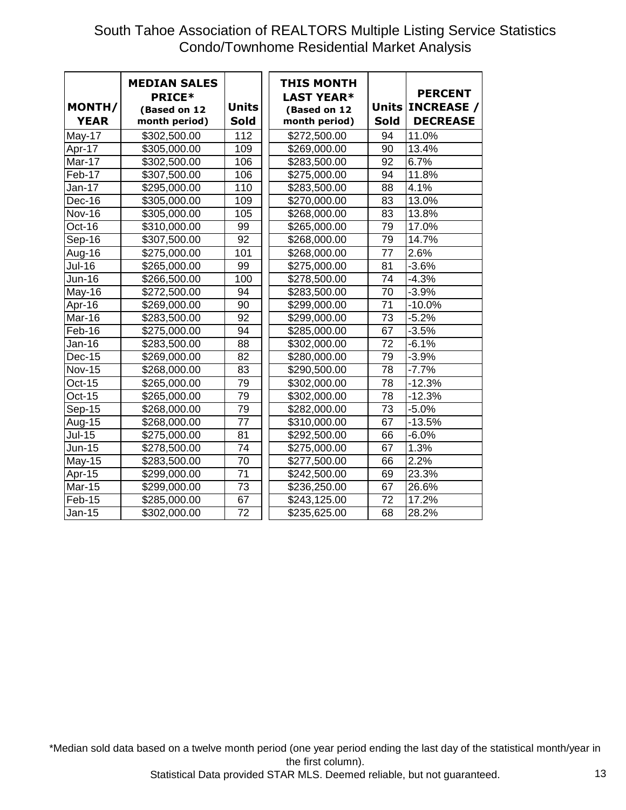## South Tahoe Association of REALTORS Multiple Listing Service Statistics Condo/Townhome Residential Market Analysis

| MONTH/<br><b>YEAR</b> | <b>MEDIAN SALES</b><br><b>PRICE*</b><br>(Based on 12<br>month period) | <b>Units</b><br><b>Sold</b> | <b>THIS MONTH</b><br><b>LAST YEAR*</b><br>(Based on 12<br>month period) | <b>Units</b><br><b>Sold</b> | <b>PERCENT</b><br><b>INCREASE /</b><br><b>DECREASE</b> |
|-----------------------|-----------------------------------------------------------------------|-----------------------------|-------------------------------------------------------------------------|-----------------------------|--------------------------------------------------------|
| May-17                | \$302,500.00                                                          | 112                         | \$272,500.00                                                            | 94                          | 11.0%                                                  |
| Apr-17                | \$305,000.00                                                          | 109                         | \$269,000.00                                                            | 90                          | 13.4%                                                  |
| Mar-17                | \$302,500.00                                                          | 106                         | \$283,500.00                                                            | 92                          | 6.7%                                                   |
| Feb-17                | \$307,500.00                                                          | 106                         | \$275,000.00                                                            | 94                          | 11.8%                                                  |
| Jan-17                | \$295,000.00                                                          | 110                         | \$283,500.00                                                            | 88                          | 4.1%                                                   |
| Dec-16                | \$305,000.00                                                          | 109                         | \$270,000.00                                                            | 83                          | 13.0%                                                  |
| <b>Nov-16</b>         | \$305,000.00                                                          | 105                         | \$268,000.00                                                            | 83                          | 13.8%                                                  |
| Oct-16                | \$310,000.00                                                          | 99                          | \$265,000.00                                                            | 79                          | 17.0%                                                  |
| Sep-16                | \$307,500.00                                                          | 92                          | \$268,000.00                                                            | 79                          | 14.7%                                                  |
| Aug-16                | \$275,000.00                                                          | 101                         | \$268,000.00                                                            | 77                          | 2.6%                                                   |
| <b>Jul-16</b>         | \$265,000.00                                                          | 99                          | \$275,000.00                                                            | 81                          | $-3.6%$                                                |
| $Jun-16$              | \$266,500.00                                                          | 100                         | \$278,500.00                                                            | 74                          | $-4.3%$                                                |
| May-16                | \$272,500.00                                                          | 94                          | \$283,500.00                                                            | 70                          | $-3.9%$                                                |
| Apr-16                | \$269,000.00                                                          | 90                          | \$299,000.00                                                            | 71                          | $-10.0%$                                               |
| Mar-16                | \$283,500.00                                                          | 92                          | \$299,000.00                                                            | 73                          | $-5.2%$                                                |
| Feb-16                | \$275,000.00                                                          | 94                          | \$285,000.00                                                            | 67                          | $-3.5%$                                                |
| Jan-16                | \$283,500.00                                                          | 88                          | \$302,000.00                                                            | 72                          | $-6.1%$                                                |
| <b>Dec-15</b>         | \$269,000.00                                                          | 82                          | \$280,000.00                                                            | 79                          | $-3.9%$                                                |
| <b>Nov-15</b>         | \$268,000.00                                                          | 83                          | \$290,500.00                                                            | 78                          | $-7.7%$                                                |
| Oct-15                | \$265,000.00                                                          | 79                          | \$302,000.00                                                            | 78                          | $-12.3%$                                               |
| Oct-15                | \$265,000.00                                                          | 79                          | \$302,000.00                                                            | 78                          | $-12.3%$                                               |
| <b>Sep-15</b>         | \$268,000.00                                                          | 79                          | \$282,000.00                                                            | 73                          | $-5.0%$                                                |
| Aug-15                | \$268,000.00                                                          | 77                          | \$310,000.00                                                            | 67                          | $-13.5%$                                               |
| <b>Jul-15</b>         | \$275,000.00                                                          | 81                          | \$292,500.00                                                            | 66                          | $-6.0%$                                                |
| <b>Jun-15</b>         | \$278,500.00                                                          | 74                          | \$275,000.00                                                            | 67                          | 1.3%                                                   |
| May-15                | \$283,500.00                                                          | 70                          | \$277,500.00                                                            | 66                          | 2.2%                                                   |
| Apr-15                | \$299,000.00                                                          | 71                          | \$242,500.00                                                            | 69                          | 23.3%                                                  |
| <b>Mar-15</b>         | \$299,000.00                                                          | 73                          | \$236,250.00                                                            | 67                          | 26.6%                                                  |
| Feb-15                | \$285,000.00                                                          | 67                          | \$243,125.00                                                            | 72                          | 17.2%                                                  |
| Jan-15                | \$302,000.00                                                          | 72                          | \$235,625.00                                                            | 68                          | 28.2%                                                  |

\*Median sold data based on a twelve month period (one year period ending the last day of the statistical month/year in the first column).

Statistical Data provided STAR MLS. Deemed reliable, but not guaranteed. 13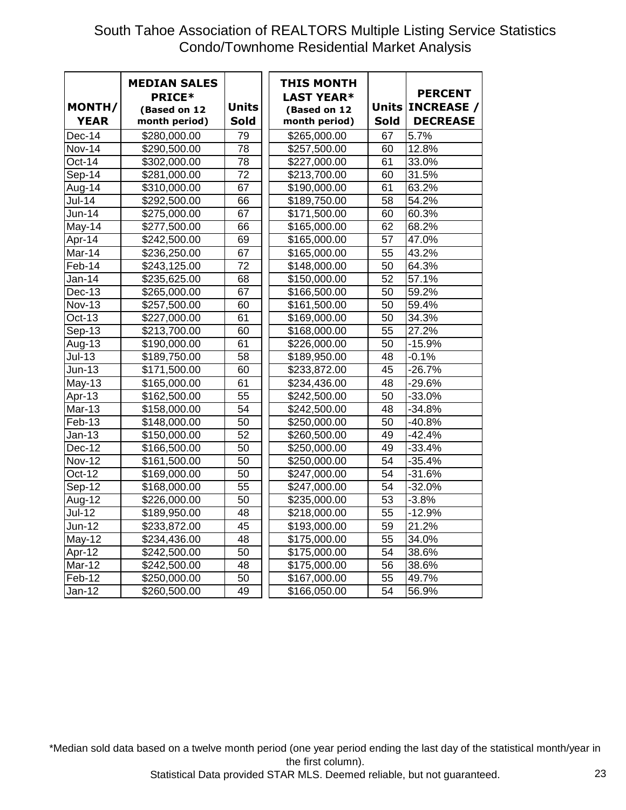## South Tahoe Association of REALTORS Multiple Listing Service Statistics Condo/Townhome Residential Market Analysis

| MONTH/<br><b>YEAR</b> | <b>MEDIAN SALES</b><br><b>PRICE*</b><br>(Based on 12<br>month period) | <b>Units</b><br>Sold | <b>THIS MONTH</b><br><b>LAST YEAR*</b><br>(Based on 12<br>month period) | <b>Sold</b> | <b>PERCENT</b><br>Units   INCREASE /<br><b>DECREASE</b> |
|-----------------------|-----------------------------------------------------------------------|----------------------|-------------------------------------------------------------------------|-------------|---------------------------------------------------------|
| Dec-14                | \$280,000.00                                                          | 79                   | \$265,000.00                                                            | 67          | 5.7%                                                    |
| <b>Nov-14</b>         | \$290,500.00                                                          | 78                   | \$257,500.00                                                            | 60          | 12.8%                                                   |
| Oct-14                | \$302,000.00                                                          | 78                   | \$227,000.00                                                            | 61          | 33.0%                                                   |
| $Sep-14$              | \$281,000.00                                                          | 72                   | \$213,700.00                                                            | 60          | 31.5%                                                   |
| Aug-14                | \$310,000.00                                                          | 67                   | \$190,000.00                                                            | 61          | 63.2%                                                   |
| <b>Jul-14</b>         | \$292,500.00                                                          | 66                   | \$189,750.00                                                            | 58          | 54.2%                                                   |
| Jun-14                | \$275,000.00                                                          | 67                   | \$171,500.00                                                            | 60          | 60.3%                                                   |
| May-14                | \$277,500.00                                                          | 66                   | \$165,000.00                                                            | 62          | 68.2%                                                   |
| Apr-14                | \$242,500.00                                                          | 69                   | \$165,000.00                                                            | 57          | 47.0%                                                   |
| Mar-14                | \$236,250.00                                                          | 67                   | \$165,000.00                                                            | 55          | 43.2%                                                   |
| Feb-14                | \$243,125.00                                                          | 72                   | \$148,000.00                                                            | 50          | 64.3%                                                   |
| <b>Jan-14</b>         | \$235,625.00                                                          | 68                   | \$150,000.00                                                            | 52          | 57.1%                                                   |
| <b>Dec-13</b>         | \$265,000.00                                                          | 67                   | \$166,500.00                                                            | 50          | 59.2%                                                   |
| <b>Nov-13</b>         | \$257,500.00                                                          | 60                   | \$161,500.00                                                            | 50          | 59.4%                                                   |
| $Oct-13$              | \$227,000.00                                                          | 61                   | \$169,000.00                                                            | 50          | 34.3%                                                   |
| Sep-13                | \$213,700.00                                                          | 60                   | \$168,000.00                                                            | 55          | 27.2%                                                   |
| Aug-13                | \$190,000.00                                                          | 61                   | \$226,000.00                                                            | 50          | $-15.9%$                                                |
| $Jul-13$              | \$189,750.00                                                          | 58                   | \$189,950.00                                                            | 48          | $-0.1%$                                                 |
| Jun-13                | \$171,500.00                                                          | 60                   | \$233,872.00                                                            | 45          | $-26.7%$                                                |
| May-13                | \$165,000.00                                                          | 61                   | \$234,436.00                                                            | 48          | $-29.6%$                                                |
| Apr-13                | \$162,500.00                                                          | 55                   | \$242,500.00                                                            | 50          | $-33.0%$                                                |
| Mar-13                | \$158,000.00                                                          | 54                   | \$242,500.00                                                            | 48          | $-34.8%$                                                |
| Feb-13                | \$148,000.00                                                          | 50                   | \$250,000.00                                                            | 50          | $-40.8%$                                                |
| $Jan-13$              | \$150,000.00                                                          | 52                   | \$260,500.00                                                            | 49          | $-42.4%$                                                |
| <b>Dec-12</b>         | \$166,500.00                                                          | 50                   | \$250,000.00                                                            | 49          | $-33.4%$                                                |
| <b>Nov-12</b>         | \$161,500.00                                                          | 50                   | \$250,000.00                                                            | 54          | $-35.4%$                                                |
| Oct-12                | \$169,000.00                                                          | 50                   | \$247,000.00                                                            | 54          | $-31.6%$                                                |
| Sep-12                | \$168,000.00                                                          | 55                   | \$247,000.00                                                            | 54          | $-32.0\%$                                               |
| Aug-12                | \$226,000.00                                                          | 50                   | \$235,000.00                                                            | 53          | $-3.8%$                                                 |
| <b>Jul-12</b>         | \$189,950.00                                                          | 48                   | \$218,000.00                                                            | 55          | $-12.9%$                                                |
| Jun-12                | \$233,872.00                                                          | 45                   | \$193,000.00                                                            | 59          | 21.2%                                                   |
| May-12                | \$234,436.00                                                          | 48                   | \$175,000.00                                                            | 55          | 34.0%                                                   |
| Apr-12                | \$242,500.00                                                          | 50                   | \$175,000.00                                                            | 54          | 38.6%                                                   |
| Mar-12                | \$242,500.00                                                          | 48                   | \$175,000.00                                                            | 56          | 38.6%                                                   |
| Feb-12                | \$250,000.00                                                          | 50                   | \$167,000.00                                                            | 55          | 49.7%                                                   |
| Jan-12                | \$260,500.00                                                          | 49                   | \$166,050.00                                                            | 54          | 56.9%                                                   |

\*Median sold data based on a twelve month period (one year period ending the last day of the statistical month/year in the first column).

Statistical Data provided STAR MLS. Deemed reliable, but not guaranteed. 23